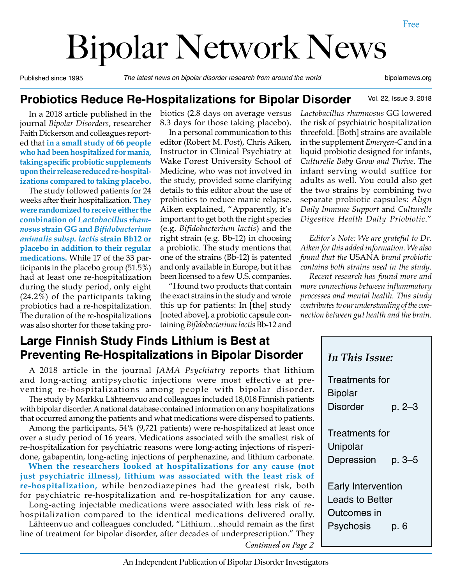# Bipolar Network News

Published since 1995 *The latest news on bipolar disorder research from around the world* bipolarnews.org

Vol. 22, Issue 3, 2018

#### **Probiotics Reduce Re-Hospitalizations for Bipolar Disorder**

In a 2018 article published in the journal *Bipolar Disorders*, researcher Faith Dickerson and colleagues reported that **in a small study of 66 people who had been hospitalized for mania, taking specific probiotic supplements upon their release reduced re-hospitalizations compared to taking placebo.**

The study followed patients for 24 weeks after their hospitalization. **They were randomized to receive either the combination of** *Lactobacillus rhamnosus* **strain GG and** *Bifidobacterium animalis subsp. lactis* **strain Bb12 or placebo in addition to their regular medications.** While 17 of the 33 participants in the placebo group (51.5%) had at least one re-hospitalization during the study period, only eight (24.2%) of the participants taking probiotics had a re-hospitalization. The duration of the re-hospitalizations was also shorter for those taking probiotics (2.8 days on average versus 8.3 days for those taking placebo).

In a personal communication to this editor (Robert M. Post), Chris Aiken, Instructor in Clinical Psychiatry at Wake Forest University School of Medicine, who was not involved in the study, provided some clarifying details to this editor about the use of probiotics to reduce manic relapse. Aiken explained, "Apparently, it's important to get both the right species (e.g. *Bifidobacterium lactis*) and the right strain (e.g. Bb-12) in choosing a probiotic. The study mentions that one of the strains (Bb-12) is patented and only available in Europe, but it has been licensed to a few U.S. companies.

"I found two products that contain the exact strains in the study and wrote this up for patients: In [the] study [noted above], a probiotic capsule containing *Bifidobacterium lactis* Bb-12 and

*Lactobacillus rhamnosus* GG lowered the risk of psychiatric hospitalization threefold. [Both] strains are available in the supplement *Emergen-C* and in a liquid probiotic designed for infants, *Culturelle Baby Grow and Thrive*. The infant serving would suffice for adults as well. You could also get the two strains by combining two separate probiotic capsules: *Align Daily Immune Support* and *Culturelle Digestive Health Daily Priobiotic*."

*Editor's Note: We are grateful to Dr. Aiken for this added information. We also found that the* USANA *brand probiotic contains both strains used in the study.*

*Recent research has found more and more connections between inflammatory processes and mental health. This study contributes to our understanding of the connection between gut health and the brain.*

## **Large Finnish Study Finds Lithium is Best at Preventing Re-Hospitalizations in Bipolar Disorder**

A 2018 article in the journal *JAMA Psychiatry* reports that lithium and long-acting antipsychotic injections were most effective at preventing re-hospitalizations among people with bipolar disorder.

The study by Markku Lähteenvuo and colleagues included 18,018 Finnish patients with bipolar disorder. A national database contained information on any hospitalizations that occurred among the patients and what medications were dispersed to patients.

Among the participants, 54% (9,721 patients) were re-hospitalized at least once over a study period of 16 years. Medications associated with the smallest risk of re-hospitalization for psychiatric reasons were long-acting injections of risperidone, gabapentin, long-acting injections of perphenazine, and lithium carbonate.

**When the researchers looked at hospitalizations for any cause (not just psychiatric illness), lithium was associated with the least risk of re-hospitalization,** while benzodiazepines had the greatest risk, both for psychiatric re-hospitalization and re-hospitalization for any cause.

Long-acting injectable medications were associated with less risk of rehospitalization compared to the identical medications delivered orally. Lähteenvuo and colleagues concluded, "Lithium…should remain as the first

line of treatment for bipolar disorder, after decades of underprescription." They

*Continued on Page 2*

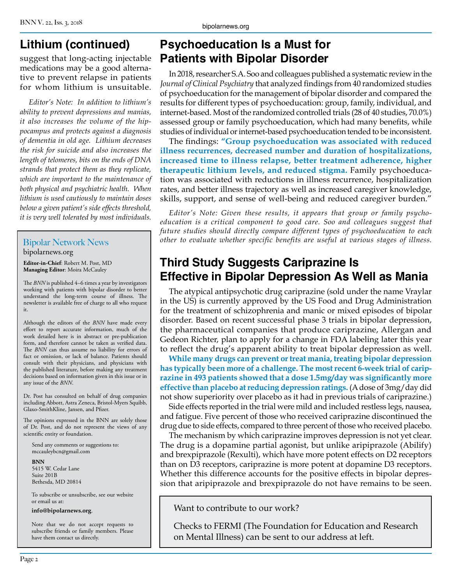## **Lithium (continued)**

suggest that long-acting injectable medications may be a good alternative to prevent relapse in patients for whom lithium is unsuitable.

*Editor's Note: In addition to lithium's ability to prevent depressions and manias, it also increases the volume of the hippocampus and protects against a diagnosis of dementia in old age. Lithium decreases the risk for suicide and also increases the length of telomeres, bits on the ends of DNA strands that protect them as they replicate, which are important to the maintenance of both physical and psychiatric health. When lithium is used cautiously to maintain doses below a given patient's side effects threshold, it is very well tolerated by most individuals.*

#### Bipolar Network News bipolarnews.org

**Editor-in-Chief**: Robert M. Post, MD **Managing Editor**: Moira McCauley

The *BNN* is published 4–6 times a year by investigators working with patients with bipolar disorder to better understand the long-term course of illness. The newsletter is available free of charge to all who request it.

Although the editors of the *BNN* have made every effort to report accurate information, much of the work detailed here is in abstract or pre-publication form, and therefore cannot be taken as verified data. The *BNN* can thus assume no liability for errors of fact or omission, or lack of balance. Patients should consult with their physicians, and physicians with the published literature, before making any treatment decisions based on information given in this issue or in any issue of the *BNN*.

Dr. Post has consulted on behalf of drug companies including Abbott, Astra Zeneca, Bristol-Myers Squibb, Glaxo-SmithKline, Jansen, and Pfizer.

The opinions expressed in the BNN are solely those of Dr. Post, and do not represent the views of any scientific entity or foundation.

Send any comments or suggestions to: mccauleybcn@gmail.com

**BNN**

5415 W. Cedar Lane Suite 201B Bethesda, MD 20814

To subscribe or unsubscribe, see our website or email us at:

**info@bipolarnews.org**.

Note that we do not accept requests to subscribe friends or family members. Please have them contact us directly.

## **Psychoeducation Is a Must for Patients with Bipolar Disorder**

In 2018, researcher S.A. Soo and colleagues published a systematic review in the *Journal of Clinical Psychiatry* that analyzed findings from 40 randomized studies of psychoeducation for the management of bipolar disorder and compared the results for different types of psychoeducation: group, family, individual, and internet-based. Most of the randomized controlled trials (28 of 40 studies, 70.0%) assessed group or family psychoeducation, which had many benefits, while studies of individual or internet-based psychoeducation tended to be inconsistent.

The findings: **"Group psychoeducation was associated with reduced illness recurrences, decreased number and duration of hospitalizations, increased time to illness relapse, better treatment adherence, higher therapeutic lithium levels, and reduced stigma.** Family psychoeducation was associated with reductions in illness recurrence, hospitalization rates, and better illness trajectory as well as increased caregiver knowledge, skills, support, and sense of well-being and reduced caregiver burden."

*Editor's Note: Given these results, it appears that group or family psychoeducation is a critical component to good care. Soo and colleagues suggest that future studies should directly compare different types of psychoeducation to each other to evaluate whether specific benefits are useful at various stages of illness.*

## **Third Study Suggests Cariprazine Is Effective in Bipolar Depression As Well as Mania**

The atypical antipsychotic drug cariprazine (sold under the name Vraylar in the US) is currently approved by the US Food and Drug Administration for the treatment of schizophrenia and manic or mixed episodes of bipolar disorder. Based on recent successful phase 3 trials in bipolar depression, the pharmaceutical companies that produce cariprazine, Allergan and Gedeon Richter, plan to apply for a change in FDA labeling later this year to reflect the drug's apparent ability to treat bipolar depression as well.

**While many drugs can prevent or treat mania, treating bipolar depression has typically been more of a challenge. The most recent 6-week trial of cariprazine in 493 patients showed that a dose 1.5mg/day was significantly more effective than placebo at reducing depression ratings.** (A dose of 3mg/day did not show superiority over placebo as it had in previous trials of cariprazine.)

Side effects reported in the trial were mild and included restless legs, nausea, and fatigue. Five percent of those who received cariprazine discontinued the drug due to side effects, compared to three percent of those who received placebo.

The mechanism by which cariprazine improves depression is not yet clear. The drug is a dopamine partial agonist, but unlike aripiprazole (Abilify) and brexpiprazole (Rexulti), which have more potent effects on D2 receptors than on D3 receptors, cariprazine is more potent at dopamine D3 receptors. Whether this difference accounts for the positive effects in bipolar depression that aripiprazole and brexpiprazole do not have remains to be seen.

Want to contribute to our work?

Checks to FERMI (The Foundation for Education and Research on Mental Illness) can be sent to our address at left.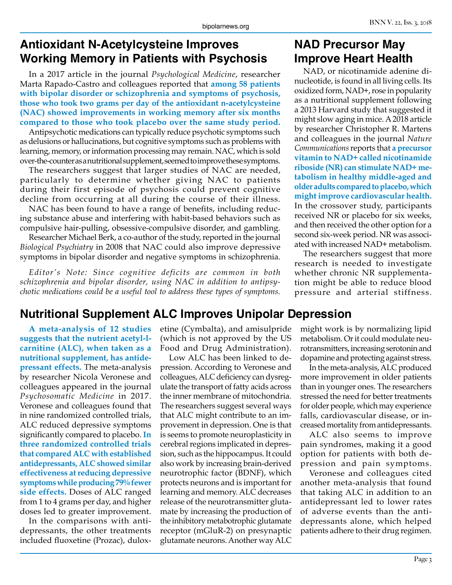### **Antioxidant N-Acetylcysteine Improves Working Memory in Patients with Psychosis**

In a 2017 article in the journal *Psychological Medicine*, researcher Marta Rapado-Castro and colleagues reported that **among 58 patients with bipolar disorder or schizophrenia and symptoms of psychosis, those who took two grams per day of the antioxidant n-acetylcysteine (NAC) showed improvements in working memory after six months compared to those who took placebo over the same study period.**

Antipsychotic medications can typically reduce psychotic symptoms such as delusions or hallucinations, but cognitive symptoms such as problems with learning, memory, or information processing may remain. NAC, which is sold over-the-counter as a nutritional supplement, seemed to improve these symptoms.

The researchers suggest that larger studies of NAC are needed, particularly to determine whether giving NAC to patients during their first episode of psychosis could prevent cognitive decline from occurring at all during the course of their illness.

NAC has been found to have a range of benefits, including reducing substance abuse and interfering with habit-based behaviors such as compulsive hair-pulling, obsessive-compulsive disorder, and gambling.

Researcher Michael Berk, a co-author of the study, reported in the journal *Biological Psychiatry* in 2008 that NAC could also improve depressive symptoms in bipolar disorder and negative symptoms in schizophrenia.

*Editor's Note: Since cognitive deficits are common in both schizophrenia and bipolar disorder, using NAC in addition to antipsychotic medications could be a useful tool to address these types of symptoms.*

## **NAD Precursor May Improve Heart Health**

NAD, or nicotinamide adenine dinucleotide, is found in all living cells. Its oxidized form, NAD+, rose in popularity as a nutritional supplement following a 2013 Harvard study that suggested it might slow aging in mice. A 2018 article by researcher Christopher R. Martens and colleagues in the journal *Nature Communications* reports that **a precursor vitamin to NAD+ called nicotinamide riboside (NR) can stimulate NAD+ metabolism in healthy middle-aged and older adults compared to placebo, which might improve cardiovascular health.**  In the crossover study, participants received NR or placebo for six weeks, and then received the other option for a second six-week period. NR was associated with increased NAD+ metabolism.

The researchers suggest that more research is needed to investigate whether chronic NR supplementation might be able to reduce blood pressure and arterial stiffness.

## **Nutritional Supplement ALC Improves Unipolar Depression**

**A meta-analysis of 12 studies suggests that the nutrient acetyl-lcarnitine (ALC), when taken as a nutritional supplement, has antidepressant effects.** The meta-analysis by researcher Nicola Veronese and colleagues appeared in the journal *Psychosomatic Medicine* in 2017. Veronese and colleagues found that in nine randomized controlled trials, ALC reduced depressive symptoms significantly compared to placebo. **In three randomized controlled trials that compared ALC with established antidepressants, ALC showed similar effectiveness at reducing depressive symptoms while producing 79% fewer side effects.** Doses of ALC ranged from 1 to 4 grams per day, and higher doses led to greater improvement.

In the comparisons with antidepressants, the other treatments included fluoxetine (Prozac), duloxetine (Cymbalta), and amisulpride (which is not approved by the US Food and Drug Administration).

Low ALC has been linked to depression. According to Veronese and colleagues, ALC deficiency can dysregulate the transport of fatty acids across the inner membrane of mitochondria. The researchers suggest several ways that ALC might contribute to an improvement in depression. One is that is seems to promote neuroplasticity in cerebral regions implicated in depression, such as the hippocampus. It could also work by increasing brain-derived neurotrophic factor (BDNF), which protects neurons and is important for learning and memory. ALC decreases release of the neurotransmitter glutamate by increasing the production of the inhibitory metabotrophic glutamate receptor (mGluR-2) on presynaptic glutamate neurons. Another way ALC

might work is by normalizing lipid metabolism. Or it could modulate neurotransmitters, increasing serotonin and dopamine and protecting against stress.

In the meta-analysis, ALC produced more improvement in older patients than in younger ones. The researchers stressed the need for better treatments for older people, which may experience falls, cardiovascular disease, or increased mortality from antidepressants.

ALC also seems to improve pain syndromes, making it a good option for patients with both depression and pain symptoms.

Veronese and colleagues cited another meta-analysis that found that taking ALC in addition to an antidepressant led to lower rates of adverse events than the antidepressants alone, which helped patients adhere to their drug regimen.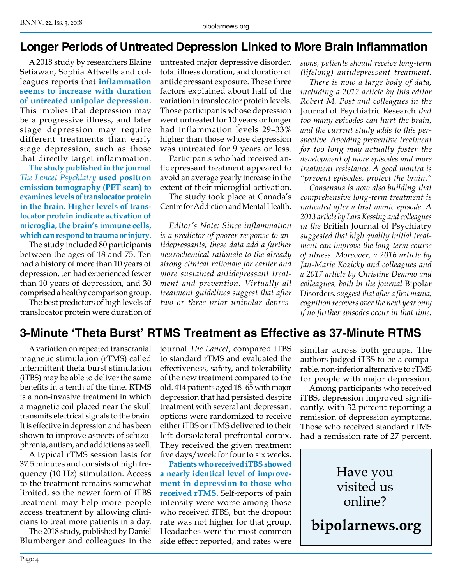#### **Longer Periods of Untreated Depression Linked to More Brain Inflammation**

A 2018 study by researchers Elaine Setiawan, Sophia Attwells and colleagues reports that **inflammation seems to increase with duration of untreated unipolar depression.** This implies that depression may be a progressive illness, and later stage depression may require different treatments than early stage depression, such as those that directly target inflammation.

**The study published in the journal**  *The Lancet Psychiatry* **used positron emission tomography (PET scan) to examines levels of translocator protein in the brain. Higher levels of translocator protein indicate activation of microglia, the brain's immune cells, which can respond to trauma or injury.**

The study included 80 participants between the ages of 18 and 75. Ten had a history of more than 10 years of depression, ten had experienced fewer than 10 years of depression, and 30 comprised a healthy comparison group.

The best predictors of high levels of translocator protein were duration of untreated major depressive disorder, total illness duration, and duration of antidepressant exposure. These three factors explained about half of the variation in translocator protein levels. Those participants whose depression went untreated for 10 years or longer had inflammation levels 29–33% higher than those whose depression was untreated for 9 years or less.

Participants who had received antidepressant treatment appeared to avoid an average yearly increase in the extent of their microglial activation.

The study took place at Canada's Centre for Addiction and Mental Health.

*Editor's Note: Since inflammation is a predictor of poorer response to antidepressants, these data add a further neurochemical rationale to the already strong clinical rationale for earlier and more sustained antidepressant treatment and prevention. Virtually all treatment guidelines suggest that after two or three prior unipolar depres-* *sions, patients should receive long-term (lifelong) antidepressant treatment.* 

*There is now a large body of data, including a 2012 article by this editor Robert M. Post and colleagues in the*  Journal of Psychiatric Research *that too many episodes can hurt the brain, and the current study adds to this perspective. Avoiding preventive treatment for too long may actually foster the development of more episodes and more treatment resistance. A good mantra is "prevent episodes, protect the brain."*

*Consensus is now also building that comprehensive long-term treatment is indicated after a first manic episode. A 2013 article by Lars Kessing and colleagues in the* British Journal of Psychiatry *suggested that high quality initial treatment can improve the long-term course of illness. Moreover, a 2016 article by Jan-Marie Kozicky and colleagues and a 2017 article by Christine Demmo and colleagues, both in the journal* Bipolar Disorders*, suggest that after a first mania, cognition recovers over the next year only if no further episodes occur in that time.*

#### **3-Minute 'Theta Burst' RTMS Treatment as Effective as 37-Minute RTMS**

A variation on repeated transcranial magnetic stimulation (rTMS) called intermittent theta burst stimulation (iTBS) may be able to deliver the same benefits in a tenth of the time. RTMS is a non-invasive treatment in which a magnetic coil placed near the skull transmits electrical signals to the brain. It is effective in depression and has been shown to improve aspects of schizophrenia, autism, and addictions as well.

A typical rTMS session lasts for 37.5 minutes and consists of high frequency (10 Hz) stimulation. Access to the treatment remains somewhat limited, so the newer form of iTBS treatment may help more people access treatment by allowing clinicians to treat more patients in a day.

The 2018 study, published by Daniel Blumberger and colleagues in the journal *The Lancet*, compared iTBS to standard rTMS and evaluated the effectiveness, safety, and tolerability of the new treatment compared to the old. 414 patients aged 18–65 with major depression that had persisted despite treatment with several antidepressant options were randomized to receive either iTBS or rTMS delivered to their left dorsolateral prefrontal cortex. They received the given treatment five days/week for four to six weeks.

**Patients who received iTBS showed a nearly identical level of improvement in depression to those who received rTMS.** Self-reports of pain intensity were worse among those who received iTBS, but the dropout rate was not higher for that group. Headaches were the most common side effect reported, and rates were

similar across both groups. The authors judged iTBS to be a comparable, non-inferior alternative to rTMS for people with major depression.

Among participants who received iTBS, depression improved significantly, with 32 percent reporting a remission of depression symptoms. Those who received standard rTMS had a remission rate of 27 percent.

> Have you visited us online?

**bipolarnews.org**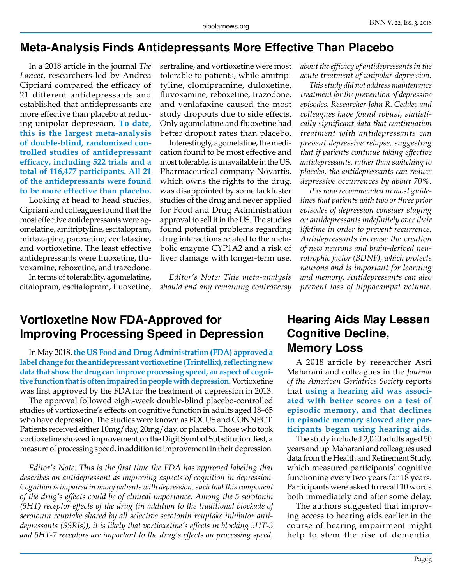#### **Meta-Analysis Finds Antidepressants More Effective Than Placebo**

In a 2018 article in the journal *The Lancet*, researchers led by Andrea Cipriani compared the efficacy of 21 different antidepressants and established that antidepressants are more effective than placebo at reducing unipolar depression. **To date, this is the largest meta-analysis of double-blind, randomized controlled studies of antidepressant efficacy, including 522 trials and a total of 116,477 participants. All 21 of the antidepressants were found to be more effective than placebo.**

Looking at head to head studies, Cipriani and colleagues found that the most effective antidepressants were agomelatine, amitriptyline, escitalopram, mirtazapine, paroxetine, venlafaxine, and vortioxetine. The least effective antidepressants were fluoxetine, fluvoxamine, reboxetine, and trazodone.

In terms of tolerability, agomelatine, citalopram, escitalopram, fluoxetine, sertraline, and vortioxetine were most tolerable to patients, while amitriptyline, clomipramine, duloxetine, fluvoxamine, reboxetine, trazodone, and venlafaxine caused the most study dropouts due to side effects. Only agomelatine and fluoxetine had better dropout rates than placebo.

Interestingly, agomelatine, the medication found to be most effective and most tolerable, is unavailable in the US. Pharmaceutical company Novartis, which owns the rights to the drug, was disappointed by some lackluster studies of the drug and never applied for Food and Drug Administration approval to sell it in the US. The studies found potential problems regarding drug interactions related to the metabolic enzyme CYP1A2 and a risk of liver damage with longer-term use.

*Editor's Note: This meta-analysis should end any remaining controversy*  *about the efficacy of antidepressants in the acute treatment of unipolar depression.* 

*This study did not address maintenance treatment for the prevention of depressive episodes. Researcher John R. Geddes and colleagues have found robust, statistically significant data that continuation treatment with antidepressants can prevent depressive relapse, suggesting that if patients continue taking effective antidepressants, rather than switching to placebo, the antidepressants can reduce depressive occurrences by about 70%.* 

*It is now recommended in most guidelines that patients with two or three prior episodes of depression consider staying on antidepressants indefinitely over their lifetime in order to prevent recurrence. Antidepressants increase the creation of new neurons and brain-derived neurotrophic factor (BDNF), which protects neurons and is important for learning and memory. Antidepressants can also prevent loss of hippocampal volume.*

### **Vortioxetine Now FDA-Approved for Improving Processing Speed in Depression**

In May 2018, **the US Food and Drug Administration (FDA) approved a label change for the antidepressant vortioxetine (Trintellix), reflecting new data that show the drug can improve processing speed, an aspect of cognitive function that is often impaired in people with depression.** Vortioxetine was first approved by the FDA for the treatment of depression in 2013.

The approval followed eight-week double-blind placebo-controlled studies of vortioxetine's effects on cognitive function in adults aged 18–65 who have depression. The studies were known as FOCUS and CONNECT. Patients received either 10mg/day, 20mg/day, or placebo. Those who took vortioxetine showed improvement on the Digit Symbol Substitution Test, a measure of processing speed, in addition to improvement in their depression.

*Editor's Note: This is the first time the FDA has approved labeling that describes an antidepressant as improving aspects of cognition in depression. Cognition is impaired in many patients with depression, such that this component of the drug's effects could be of clinical importance. Among the 5 serotonin (5HT) receptor effects of the drug (in addition to the traditional blockade of serotonin reuptake shared by all selective serotonin reuptake inhibitor antidepressants (SSRIs)), it is likely that vortioxetine's effects in blocking 5HT-3 and 5HT-7 receptors are important to the drug's effects on processing speed.*

### **Hearing Aids May Lessen Cognitive Decline, Memory Loss**

A 2018 article by researcher Asri Maharani and colleagues in the *Journal of the American Geriatrics Society* reports that **using a hearing aid was associated with better scores on a test of episodic memory, and that declines in episodic memory slowed after participants began using hearing aids.**

The study included 2,040 adults aged 50 years and up. Maharani and colleagues used data from the Health and Retirement Study, which measured participants' cognitive functioning every two years for 18 years. Participants were asked to recall 10 words both immediately and after some delay.

The authors suggested that improving access to hearing aids earlier in the course of hearing impairment might help to stem the rise of dementia.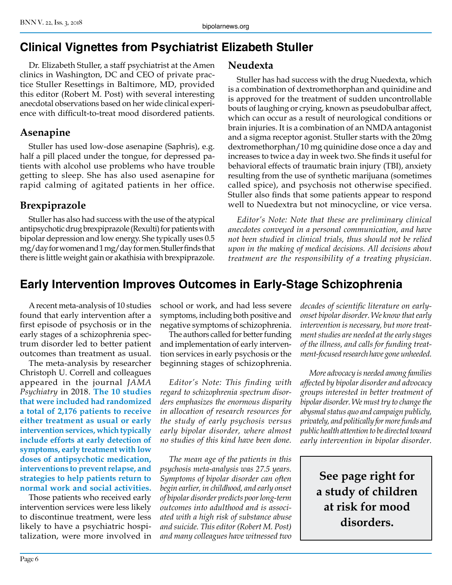## **Clinical Vignettes from Psychiatrist Elizabeth Stuller**

Dr. Elizabeth Stuller, a staff psychiatrist at the Amen clinics in Washington, DC and CEO of private practice Stuller Resettings in Baltimore, MD, provided this editor (Robert M. Post) with several interesting anecdotal observations based on her wide clinical experience with difficult-to-treat mood disordered patients.

## **Asenapine**

Stuller has used low-dose asenapine (Saphris), e.g. half a pill placed under the tongue, for depressed patients with alcohol use problems who have trouble getting to sleep. She has also used asenapine for rapid calming of agitated patients in her office.

## **Brexpiprazole**

Stuller has also had success with the use of the atypical antipsychotic drug brexpiprazole (Rexulti) for patients with bipolar depression and low energy. She typically uses 0.5 mg/day for women and 1 mg/day for men. Stuller finds that there is little weight gain or akathisia with brexpiprazole.

#### **Neudexta**

Stuller has had success with the drug Nuedexta, which is a combination of dextromethorphan and quinidine and is approved for the treatment of sudden uncontrollable bouts of laughing or crying, known as pseudobulbar affect, which can occur as a result of neurological conditions or brain injuries. It is a combination of an NMDA antagonist and a sigma receptor agonist. Stuller starts with the 20mg dextromethorphan/10 mg quinidine dose once a day and increases to twice a day in week two. She finds it useful for behavioral effects of traumatic brain injury (TBI), anxiety resulting from the use of synthetic marijuana (sometimes called spice), and psychosis not otherwise specified. Stuller also finds that some patients appear to respond well to Nuedextra but not minocycline, or vice versa.

*Editor's Note: Note that these are preliminary clinical anecdotes conveyed in a personal communication, and have not been studied in clinical trials, thus should not be relied upon in the making of medical decisions. All decisions about treatment are the responsibility of a treating physician.* 

# **Early Intervention Improves Outcomes in Early-Stage Schizophrenia**

A recent meta-analysis of 10 studies found that early intervention after a first episode of psychosis or in the early stages of a schizophrenia spectrum disorder led to better patient outcomes than treatment as usual.

The meta-analysis by researcher Christoph U. Correll and colleagues appeared in the journal *JAMA Psychiatry* in 2018. **The 10 studies that were included had randomized a total of 2,176 patients to receive either treatment as usual or early intervention services, which typically include efforts at early detection of symptoms, early treatment with low doses of antipsychotic medication, interventions to prevent relapse, and strategies to help patients return to normal work and social activities.**

Those patients who received early intervention services were less likely to discontinue treatment, were less likely to have a psychiatric hospitalization, were more involved in school or work, and had less severe symptoms, including both positive and negative symptoms of schizophrenia.

The authors called for better funding and implementation of early intervention services in early psychosis or the beginning stages of schizophrenia.

*Editor's Note: This finding with regard to schizophrenia spectrum disorders emphasizes the enormous disparity in allocation of research resources for the study of early psychosis versus early bipolar disorder, where almost no studies of this kind have been done.* 

*The mean age of the patients in this psychosis meta-analysis was 27.5 years. Symptoms of bipolar disorder can often begin earlier, in childhood, and early onset of bipolar disorder predicts poor long-term outcomes into adulthood and is associated with a high risk of substance abuse and suicide. This editor (Robert M. Post) and many colleagues have witnessed two*  *decades of scientific literature on earlyonset bipolar disorder. We know that early intervention is necessary, but more treatment studies are needed at the early stages of the illness, and calls for funding treatment-focused research have gone unheeded.*

*More advocacy is needed among families affected by bipolar disorder and advocacy groups interested in better treatment of bipolar disorder. We must try to change the abysmal status quo and campaign publicly, privately, and politically for more funds and public health attention to be directed toward early intervention in bipolar disorder.* 

> **See page right for a study of children at risk for mood disorders.**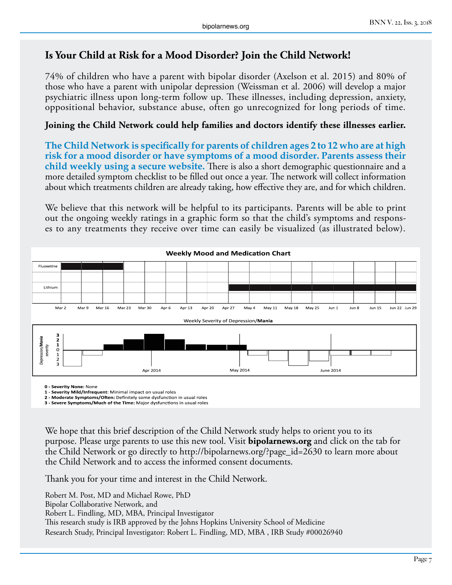#### **Is Your Child at Risk for a Mood Disorder? Join the Child Network!**

74% of children who have a parent with bipolar disorder (Axelson et al. 2015) and 80% of those who have a parent with unipolar depression (Weissman et al. 2006) will develop a major psychiatric illness upon long-term follow up. These illnesses, including depression, anxiety, oppositional behavior, substance abuse, often go unrecognized for long periods of time.

#### **Joining the Child Network could help families and doctors identify these illnesses earlier.**

**The Child Network is specifically for parents of children ages 2 to 12 who are at high risk for a mood disorder or have symptoms of a mood disorder. Parents assess their child weekly using a secure website.** There is also a short demographic questionnaire and a more detailed symptom checklist to be filled out once a year. The network will collect information about which treatments children are already taking, how effective they are, and for which children.

We believe that this network will be helpful to its participants. Parents will be able to print out the ongoing weekly ratings in a graphic form so that the child's symptoms and responses to any treatments they receive over time can easily be visualized (as illustrated below).



**0 - Severity None:** None

**1 - Severity Mild/Infrequent**: Minimal impact on usual roles

**2 - Moderate Symptoms/Often:** Definitely some dysfunction in usual roles **3 - Severe Symptoms/Much of the Time:** Major dysfunctions in usual roles

We hope that this brief description of the Child Network study helps to orient you to its purpose. Please urge parents to use this new tool. Visit **bipolarnews.org** and click on the tab for the Child Network or go directly to http://bipolarnews.org/?page\_id=2630 to learn more about the Child Network and to access the informed consent documents.

Thank you for your time and interest in the Child Network.

Robert M. Post, MD and Michael Rowe, PhD Bipolar Collaborative Network, and Robert L. Findling, MD, MBA, Principal Investigator This research study is IRB approved by the Johns Hopkins University School of Medicine Research Study, Principal Investigator: Robert L. Findling, MD, MBA , IRB Study #00026940